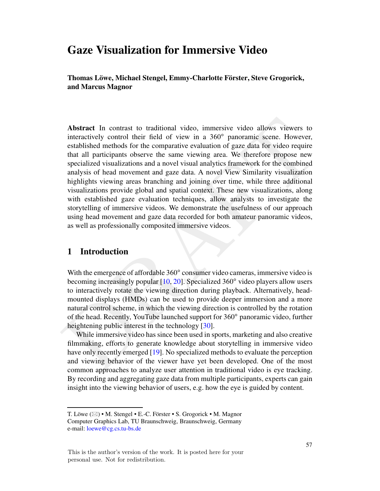# **Gaze Visualization for Immersive Video**

**Thomas Löwe, Michael Stengel, Emmy-Charlotte Förster, Steve Grogorick, and Marcus Magnor**

**Abstract** In contrast to traditional video, immersive video allows viewers to<br>interactively control their field of view in a 360° panoramic scene. However,<br>established methods for the comparative evaluation of gaze data **Abstract** In contrast to traditional video, immersive video allows viewers to interactively control their field of view in a  $360^\circ$  panoramic scene. However, established methods for the comparative evaluation of gaze data for video require that all participants observe the same viewing area. We therefore propose new specialized visualizations and a novel visual analytics framework for the combined analysis of head movement and gaze data. A novel View Similarity visualization highlights viewing areas branching and joining over time, while three additional visualizations provide global and spatial context. These new visualizations, along with established gaze evaluation techniques, allow analysts to investigate the storytelling of immersive videos. We demonstrate the usefulness of our approach using head movement and gaze data recorded for both amateur panoramic videos, as well as professionally composited immersive videos.

### **1 Introduction**

With the emergence of affordable  $360^\circ$  consumer video cameras, immersive video is becoming increasingly popular  $[10, 20]$ . Specialized 360 $^{\circ}$  video players allow users to interactively rotate the viewing direction during playback. Alternatively, headmounted displays (HMDs) can be used to provide deeper immersion and a more natural control scheme, in which the viewing direction is controlled by the rotation of the head. Recently, YouTube launched support for 360° panoramic video, further heightening public interest in the technology [30].

While immersive video has since been used in sports, marketing and also creative filmmaking, efforts to generate knowledge about storytelling in immersive video have only recently emerged [19]. No specialized methods to evaluate the perception and viewing behavior of the viewer have yet been developed. One of the most common approaches to analyze user attention in traditional video is eye tracking. By recording and aggregating gaze data from multiple participants, experts can gain insight into the viewing behavior of users, e.g. how the eye is guided by content.

T. Löwe ( $\boxtimes$ ) • M. Stengel • E.-C. Förster • S. Grogorick • M. Magnor Computer Graphics Lab, TU Braunschweig, Braunschweig, Germany e-mail: loewe@cg.cs.tu-bs.de

This is the author's version of the work. It is posted here for your personal use. Not for redistribution.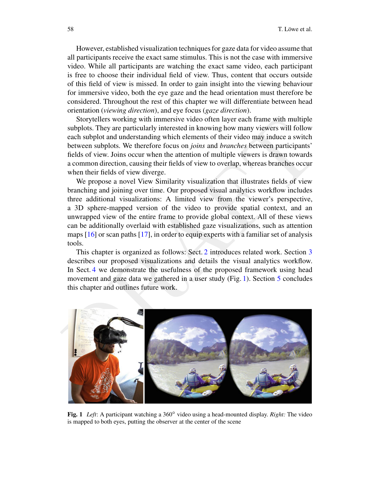However, established visualization techniques for gaze data for video assume that all participants receive the exact same stimulus. This is not the case with immersive video. While all participants are watching the exact same video, each participant is free to choose their individual field of view. Thus, content that occurs outside of this field of view is missed. In order to gain insight into the viewing behaviour for immersive video, both the eye gaze and the head orientation must therefore be considered. Throughout the rest of this chapter we will differentiate between head orientation (*viewing direction*), and eye focus (*gaze direction*).

Storytellers working with immersive video often layer each frame with multiple subplots. They are particularly interested in knowing how many viewers will follow each subplot and understanding which elements of their video may induce a switch between subplots. We therefore focus on *joins* and *branches* between participants' fields of view. Joins occur when the attention of multiple viewers is drawn towards a common direction, causing their fields of view to overlap, whereas branches occur when their fields of view diverge.

We propose a novel View Similarity visualization that illustrates fields of view branching and joining over time. Our proposed visual analytics workflow includes three additional visualizations: A limited view from the viewer's perspective, a 3D sphere-mapped version of the video to provide spatial context, and an unwrapped view of the entire frame to provide global context. All of these views can be additionally overlaid with established gaze visualizations, such as attention maps [16] or scan paths [17], in order to equip experts with a familiar set of analysis tools.

This chapter is organized as follows: Sect. 2 introduces related work. Section 3 describes our proposed visualizations and details the visual analytics workflow. In Sect. 4 we demonstrate the usefulness of the proposed framework using head movement and gaze data we gathered in a user study (Fig. 1). Section 5 concludes this chapter and outlines future work.



**Fig. 1** *Left*: A participant watching a 360° video using a head-mounted display. *Right:* The video is mapped to both eyes, putting the observer at the center of the scene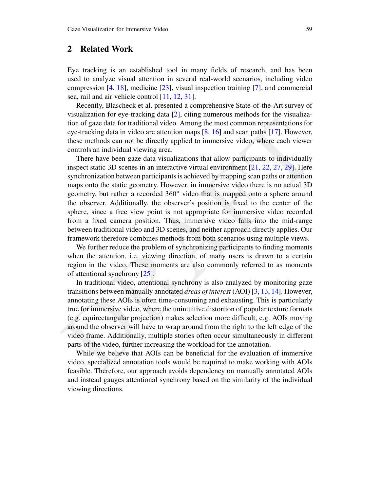### **2 Related Work**

Eye tracking is an established tool in many fields of research, and has been used to analyze visual attention in several real-world scenarios, including video compression [4, 18], medicine [23], visual inspection training [7], and commercial sea, rail and air vehicle control [11, 12, 31].

Recently, Blascheck et al. presented a comprehensive State-of-the-Art survey of visualization for eye-tracking data [2], citing numerous methods for the visualization of gaze data for traditional video. Among the most common representations for eye-tracking data in video are attention maps [8, 16] and scan paths [17]. However, these methods can not be directly applied to immersive video, where each viewer controls an individual viewing area.

via an via the conservation of gaze data for traditional video. Among the most common representations for<br>eye-tracking data in video are attention maps [8, 16] and scan paths [17]. However,<br>these methods can not be direct There have been gaze data visualizations that allow participants to individually inspect static 3D scenes in an interactive virtual environment [21, 22, 27, 29]. Here synchronization between participants is achieved by mapping scan paths or attention maps onto the static geometry. However, in immersive video there is no actual 3D geometry, but rather a recorded 360° video that is mapped onto a sphere around the observer. Additionally, the observer's position is fixed to the center of the sphere, since a free view point is not appropriate for immersive video recorded from a fixed camera position. Thus, immersive video falls into the mid-range between traditional video and 3D scenes, and neither approach directly applies. Our framework therefore combines methods from both scenarios using multiple views.

We further reduce the problem of synchronizing participants to finding moments when the attention, i.e. viewing direction, of many users is drawn to a certain region in the video. These moments are also commonly referred to as moments of attentional synchrony [25].

In traditional video, attentional synchrony is also analyzed by monitoring gaze transitions between manually annotated *areas of interest* (AOI) [3, 13, 14]. However, annotating these AOIs is often time-consuming and exhausting. This is particularly true for immersive video, where the unintuitive distortion of popular texture formats (e.g. equirectangular projection) makes selection more difficult, e.g. AOIs moving around the observer will have to wrap around from the right to the left edge of the video frame. Additionally, multiple stories often occur simultaneously in different parts of the video, further increasing the workload for the annotation.

While we believe that AOIs can be beneficial for the evaluation of immersive video, specialized annotation tools would be required to make working with AOIs feasible. Therefore, our approach avoids dependency on manually annotated AOIs and instead gauges attentional synchrony based on the similarity of the individual viewing directions.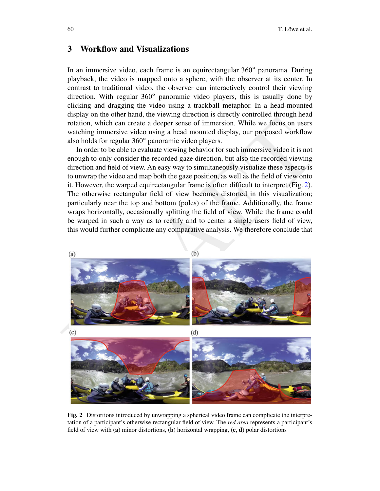## **3 Workflow and Visualizations**

In an immersive video, each frame is an equirectangular  $360^\circ$  panorama. During playback, the video is mapped onto a sphere, with the observer at its center. In contrast to traditional video, the observer can interactively control their viewing direction. With regular  $360^\circ$  panoramic video players, this is usually done by clicking and dragging the video using a trackball metaphor. In a head-mounted display on the other hand, the viewing direction is directly controlled through head rotation, which can create a deeper sense of immersion. While we focus on users watching immersive video using a head mounted display, our proposed workflow also holds for regular  $360^\circ$  panoramic video players.

In order to be able to evaluate viewing behavior for such immersive video it is not enough to only consider the recorded gaze direction, but also the recorded viewing direction and field of view. An easy way to simultaneously visualize these aspects is to unwrap the video and map both the gaze position, as well as the field of view onto it. However, the warped equirectangular frame is often difficult to interpret (Fig. 2). The otherwise rectangular field of view becomes distorted in this visualization; particularly near the top and bottom (poles) of the frame. Additionally, the frame wraps horizontally, occasionally splitting the field of view. While the frame could be warped in such a way as to rectify and to center a single users field of view, this would further complicate any comparative analysis. We therefore conclude that



**Fig. 2** Distortions introduced by unwrapping a spherical video frame can complicate the interpretation of a participant's otherwise rectangular field of view. The *red area* represents a participant's field of view with (**a**) minor distortions, (**b**) horizontal wrapping, (**c, d**) polar distortions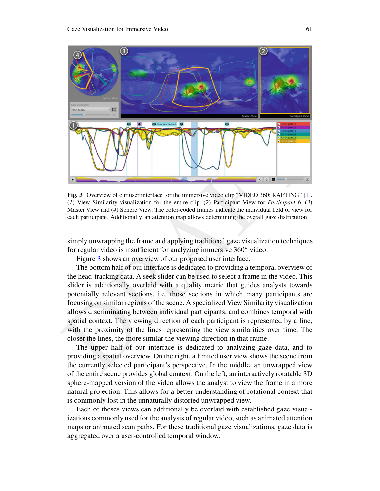

**Fig. 3** Overview of our user interface for the immersive video clip "VIDEO 360: RAFTING" [1]. (*1*) View Similarity visualization for the entire clip. (*2*) Participant View for *Participant 6*. (*3*) Master View and (*4*) Sphere View. The color-coded frames indicate the individual field of view for each participant. Additionally, an attention map allows determining the overall gaze distribution

simply unwrapping the frame and applying traditional gaze visualization techniques for regular video is insufficient for analyzing immersive 360° video.

Figure 3 shows an overview of our proposed user interface.

The bottom half of our interface is dedicated to providing a temporal overview of the head-tracking data. A seek slider can be used to select a frame in the video. This slider is additionally overlaid with a quality metric that guides analysts towards potentially relevant sections, i.e. those sections in which many participants are focusing on similar regions of the scene. A specialized View Similarity visualization allows discriminating between individual participants, and combines temporal with spatial context. The viewing direction of each participant is represented by a line, with the proximity of the lines representing the view similarities over time. The closer the lines, the more similar the viewing direction in that frame.

The upper half of our interface is dedicated to analyzing gaze data, and to providing a spatial overview. On the right, a limited user view shows the scene from the currently selected participant's perspective. In the middle, an unwrapped view of the entire scene provides global context. On the left, an interactively rotatable 3D sphere-mapped version of the video allows the analyst to view the frame in a more natural projection. This allows for a better understanding of rotational context that is commonly lost in the unnaturally distorted unwrapped view.

Each of theses views can additionally be overlaid with established gaze visualizations commonly used for the analysis of regular video, such as animated attention maps or animated scan paths. For these traditional gaze visualizations, gaze data is aggregated over a user-controlled temporal window.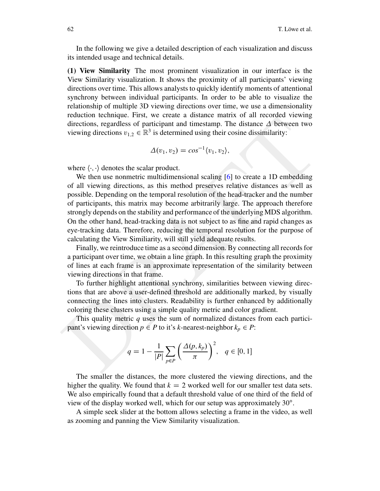In the following we give a detailed description of each visualization and discuss its intended usage and technical details.

**(1) View Similarity** The most prominent visualization in our interface is the View Similarity visualization. It shows the proximity of all participants' viewing directions over time. This allows analysts to quickly identify moments of attentional synchrony between individual participants. In order to be able to visualize the relationship of multiple 3D viewing directions over time, we use a dimensionality reduction technique. First, we create a distance matrix of all recorded viewing directions, regardless of participant and timestamp. The distance  $\Delta$  between two viewing directions  $v_{1,2} \in \mathbb{R}^3$  is determined using their cosine dissimilarity:

$$
\Delta(v_1, v_2) = \cos^{-1}\langle v_1, v_2 \rangle,
$$

where  $\langle \cdot, \cdot \rangle$  denotes the scalar product.

From the direct Finds, we view a distance intention of intercolour viewing<br>directions, regardless of participant and timestamp. The distance  $\Delta$  between two<br>viewing directions  $v_{1,2} \in \mathbb{R}^3$  is determined using their We then use nonmetric multidimensional scaling [6] to create a 1D embedding of all viewing directions, as this method preserves relative distances as well as possible. Depending on the temporal resolution of the head-tracker and the number of participants, this matrix may become arbitrarily large. The approach therefore strongly depends on the stability and performance of the underlying MDS algorithm. On the other hand, head-tracking data is not subject to as fine and rapid changes as eye-tracking data. Therefore, reducing the temporal resolution for the purpose of calculating the View Similiarity, will still yield adequate results.

Finally, we reintroduce time as a second dimension. By connecting all records for a participant over time, we obtain a line graph. In this resulting graph the proximity of lines at each frame is an approximate representation of the similarity between viewing directions in that frame.

To further highlight attentional synchrony, similarities between viewing directions that are above a user-defined threshold are additionally marked, by visually connecting the lines into clusters. Readability is further enhanced by additionally coloring these clusters using a simple quality metric and color gradient.

This quality metric *q* uses the sum of normalized distances from each participant's viewing direction  $p \in P$  to it's *k*-nearest-neighbor  $k_p \in P$ :

$$
q = 1 - \frac{1}{|P|} \sum_{p \in P} \left( \frac{\Delta(p, k_p)}{\pi} \right)^2, \quad q \in [0, 1]
$$

The smaller the distances, the more clustered the viewing directions, and the higher the quality. We found that  $k = 2$  worked well for our smaller test data sets. We also empirically found that a default threshold value of one third of the field of view of the display worked well, which for our setup was approximately  $30^{\circ}$ .

A simple seek slider at the bottom allows selecting a frame in the video, as well as zooming and panning the View Similarity visualization.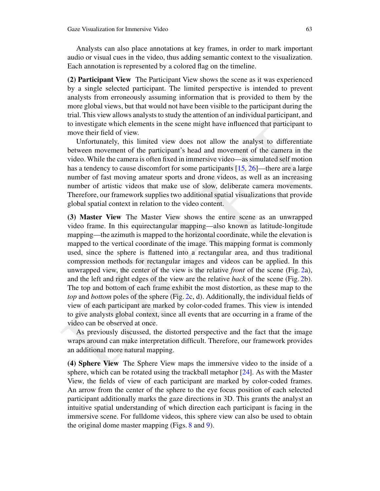Analysts can also place annotations at key frames, in order to mark important audio or visual cues in the video, thus adding semantic context to the visualization. Each annotation is represented by a colored flag on the timeline.

**(2) Participant View** The Participant View shows the scene as it was experienced by a single selected participant. The limited perspective is intended to prevent analysts from erroneously assuming information that is provided to them by the more global views, but that would not have been visible to the participant during the trial. This view allows analysts to study the attention of an individual participant, and to investigate which elements in the scene might have influenced that participant to move their field of view.

Unfortunately, this limited view does not allow the analyst to differentiate between movement of the participant's head and movement of the camera in the video. While the camera is often fixed in immersive video—as simulated self motion has a tendency to cause discomfort for some participants [15, 26]—there are a large number of fast moving amateur sports and drone videos, as well as an increasing number of artistic videos that make use of slow, deliberate camera movements. Therefore, our framework supplies two additional spatial visualizations that provide global spatial context in relation to the video content.

Latin as it we allows allows and y allows and y the mathemotion and mini-would participant, and<br>to investigate which elements in the scene might have influenced that participant to<br>move their field of view.<br>Unformately, t **(3) Master View** The Master View shows the entire scene as an unwrapped video frame. In this equirectangular mapping—also known as latitude-longitude mapping—the azimuth is mapped to the horizontal coordinate, while the elevation is mapped to the vertical coordinate of the image. This mapping format is commonly used, since the sphere is flattened into a rectangular area, and thus traditional compression methods for rectangular images and videos can be applied. In this unwrapped view, the center of the view is the relative *front* of the scene (Fig. 2a), and the left and right edges of the view are the relative *back* of the scene (Fig. 2b). The top and bottom of each frame exhibit the most distortion, as these map to the *top* and *bottom* poles of the sphere (Fig. 2c, d). Additionally, the individual fields of view of each participant are marked by color-coded frames. This view is intended to give analysts global context, since all events that are occurring in a frame of the video can be observed at once.

As previously discussed, the distorted perspective and the fact that the image wraps around can make interpretation difficult. Therefore, our framework provides an additional more natural mapping.

**(4) Sphere View** The Sphere View maps the immersive video to the inside of a sphere, which can be rotated using the trackball metaphor [24]. As with the Master View, the fields of view of each participant are marked by color-coded frames. An arrow from the center of the sphere to the eye focus position of each selected participant additionally marks the gaze directions in 3D. This grants the analyst an intuitive spatial understanding of which direction each participant is facing in the immersive scene. For fulldome videos, this sphere view can also be used to obtain the original dome master mapping (Figs. 8 and 9).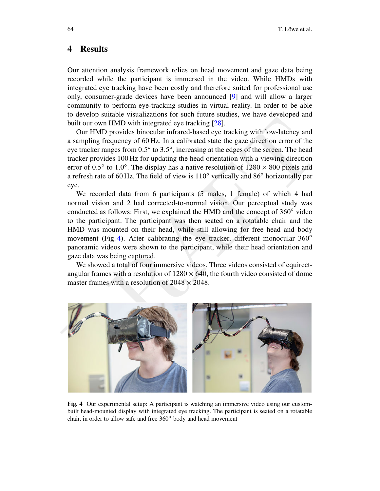## **4 Results**

Our attention analysis framework relies on head movement and gaze data being recorded while the participant is immersed in the video. While HMDs with integrated eye tracking have been costly and therefore suited for professional use only, consumer-grade devices have been announced [9] and will allow a larger community to perform eye-tracking studies in virtual reality. In order to be able to develop suitable visualizations for such future studies, we have developed and built our own HMD with integrated eye tracking [28].

Our HMD provides binocular infrared-based eye tracking with low-latency and a sampling frequency of 60 Hz. In a calibrated state the gaze direction error of the eye tracker ranges from  $0.5^\circ$  to  $3.5^\circ$ , increasing at the edges of the screen. The head tracker provides 100 Hz for updating the head orientation with a viewing direction error of 0.5° to 1.0°. The display has a native resolution of  $1280 \times 800$  pixels and a refresh rate of 60 Hz. The field of view is  $110^{\circ}$  vertically and 86 $^{\circ}$  horizontally per eye.

We recorded data from 6 participants (5 males, 1 female) of which 4 had normal vision and 2 had corrected-to-normal vision. Our perceptual study was conducted as follows: First, we explained the HMD and the concept of  $360^\circ$  video to the participant. The participant was then seated on a rotatable chair and the HMD was mounted on their head, while still allowing for free head and body movement (Fig. 4). After calibrating the eye tracker, different monocular  $360^\circ$ panoramic videos were shown to the participant, while their head orientation and gaze data was being captured.

We showed a total of four immersive videos. Three videos consisted of equirectangular frames with a resolution of  $1280 \times 640$ , the fourth video consisted of dome master frames with a resolution of  $2048 \times 2048$ .



**Fig. 4** Our experimental setup: A participant is watching an immersive video using our custombuilt head-mounted display with integrated eye tracking. The participant is seated on a rotatable chair, in order to allow safe and free 360° body and head movement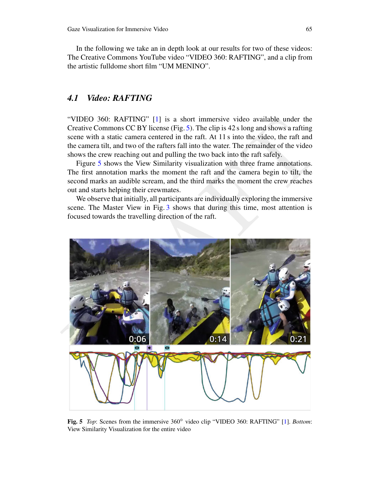In the following we take an in depth look at our results for two of these videos: The Creative Commons YouTube video "VIDEO 360: RAFTING", and a clip from the artistic fulldome short film "UM MENINO".

#### *4.1 Video: RAFTING*

"VIDEO 360: RAFTING" [1] is a short immersive video available under the Creative Commons CC BY license (Fig. 5). The clip is 42 s long and shows a rafting scene with a static camera centered in the raft. At 11 s into the video, the raft and the camera tilt, and two of the rafters fall into the water. The remainder of the video shows the crew reaching out and pulling the two back into the raft safely.

Figure 5 shows the View Similarity visualization with three frame annotations. The first annotation marks the moment the raft and the camera begin to tilt, the second marks an audible scream, and the third marks the moment the crew reaches out and starts helping their crewmates.

We observe that initially, all participants are individually exploring the immersive scene. The Master View in Fig. 3 shows that during this time, most attention is focused towards the travelling direction of the raft.



**Fig. 5** *Top*: Scenes from the immersive 360° video clip "VIDEO 360: RAFTING" [1]. *Bottom*: View Similarity Visualization for the entire video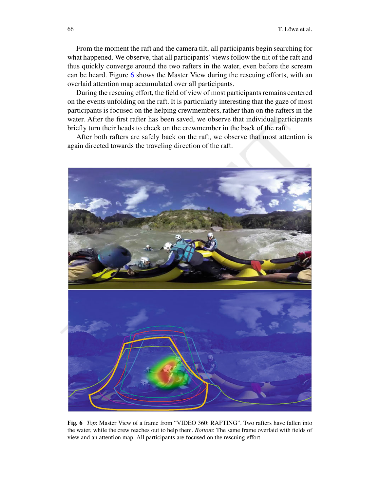From the moment the raft and the camera tilt, all participants begin searching for what happened. We observe, that all participants' views follow the tilt of the raft and thus quickly converge around the two rafters in the water, even before the scream can be heard. Figure 6 shows the Master View during the rescuing efforts, with an overlaid attention map accumulated over all participants.

During the rescuing effort, the field of view of most participants remains centered on the events unfolding on the raft. It is particularly interesting that the gaze of most participants is focused on the helping crewmembers, rather than on the rafters in the water. After the first rafter has been saved, we observe that individual participants briefly turn their heads to check on the crewmember in the back of the raft.

After both rafters are safely back on the raft, we observe that most attention is again directed towards the traveling direction of the raft.



**Fig. 6** *Top*: Master View of a frame from "VIDEO 360: RAFTING". Two rafters have fallen into the water, while the crew reaches out to help them. *Bottom*: The same frame overlaid with fields of view and an attention map. All participants are focused on the rescuing effort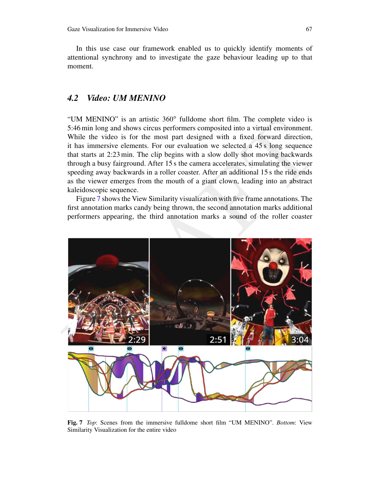In this use case our framework enabled us to quickly identify moments of attentional synchrony and to investigate the gaze behaviour leading up to that moment.

## *4.2 Video: UM MENINO*

"UM MENINO" is an artistic 360° fulldome short film. The complete video is 5:46 min long and shows circus performers composited into a virtual environment. While the video is for the most part designed with a fixed forward direction, it has immersive elements. For our evaluation we selected a 45 s long sequence that starts at 2:23 min. The clip begins with a slow dolly shot moving backwards through a busy fairground. After 15 s the camera accelerates, simulating the viewer speeding away backwards in a roller coaster. After an additional 15 s the ride ends as the viewer emerges from the mouth of a giant clown, leading into an abstract kaleidoscopic sequence.

Figure 7 shows the View Similarity visualization with five frame annotations. The first annotation marks candy being thrown, the second annotation marks additional performers appearing, the third annotation marks a sound of the roller coaster



**Fig. 7** *Top*: Scenes from the immersive fulldome short film "UM MENINO". *Bottom*: View Similarity Visualization for the entire video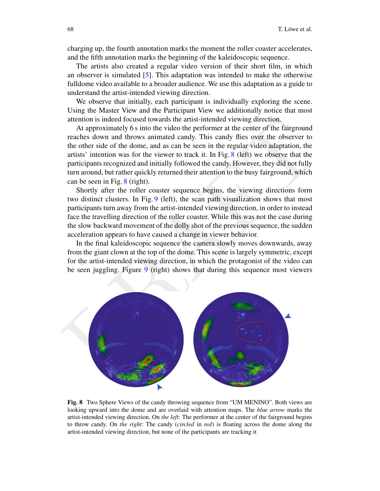charging up, the fourth annotation marks the moment the roller coaster accelerates, and the fifth annotation marks the beginning of the kaleidoscopic sequence.

The artists also created a regular video version of their short film, in which an observer is simulated [5]. This adaptation was intended to make the otherwise fulldome video available to a broader audience. We use this adaptation as a guide to understand the artist-intended viewing direction.

We observe that initially, each participant is individually exploring the scene. Using the Master View and the Participant View we additionally notice that most attention is indeed focused towards the artist-intended viewing direction.

At approximately 6 s into the video the performer at the center of the fairground reaches down and throws animated candy. This candy flies over the observer to the other side of the dome, and as can be seen in the regular video adaptation, the artists' intention was for the viewer to track it. In Fig. 8 (left) we observe that the participants recognized and initially followed the candy. However, they did not fully turn around, but rather quickly returned their attention to the busy fairground, which can be seen in Fig. 8 (right).

Shortly after the roller coaster sequence begins, the viewing directions form two distinct clusters. In Fig. 9 (left), the scan path visualization shows that most participants turn away from the artist-intended viewing direction, in order to instead face the travelling direction of the roller coaster. While this was not the case during the slow backward movement of the dolly shot of the previous sequence, the sudden acceleration appears to have caused a change in viewer behavior.

In the final kaleidoscopic sequence the camera slowly moves downwards, away from the giant clown at the top of the dome. This scene is largely symmetric, except for the artist-intended viewing direction, in which the protagonist of the video can be seen juggling. Figure 9 (right) shows that during this sequence most viewers



**Fig. 8** Two Sphere Views of the candy throwing sequence from "UM MENINO". Both views are looking upward into the dome and are overlaid with attention maps. The *blue arrow* marks the artist-intended viewing direction. On *the left*: The performer at the center of the fairground begins to throw candy. On *the right*: The candy (*circled* in *red*) is floating across the dome along the artist-intended viewing direction, but none of the participants are tracking it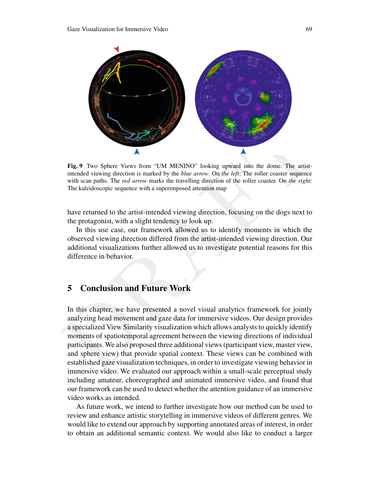

**Fig. 9** Two Sphere Views from "UM MENINO" looking upward into the dome. The artistintended viewing direction is marked by the *blue arrow*. On *the left*: The roller coaster sequence with scan paths. The *red arrow* marks the travelling direction of the roller coaster. On *the right*: The kaleidoscopic sequence with a superimposed attention map

have returned to the artist-intended viewing direction, focusing on the dogs next to the protagonist, with a slight tendency to look up.

In this use case, our framework allowed us to identify moments in which the observed viewing direction differed from the artist-intended viewing direction. Our additional visualizations further allowed us to investigate potential reasons for this difference in behavior.

## **5 Conclusion and Future Work**

The **9** Two Sphere Views from "UM MIFSINO" looking upward into the dome. The antistimeted viewing direction is marked by the *blue carrow*. On *the left*: The roller coaster sequence with a samples. The *real arrow marks* In this chapter, we have presented a novel visual analytics framework for jointly analyzing head movement and gaze data for immersive videos. Our design provides a specialized View Similarity visualization which allows analysts to quickly identify moments of spatiotemporal agreement between the viewing directions of individual participants. We also proposed three additional views (participant view, master view, and sphere view) that provide spatial context. These views can be combined with established gaze visualization techniques, in order to investigate viewing behavior in immersive video. We evaluated our approach within a small-scale perceptual study including amateur, choreographed and animated immersive video, and found that our framework can be used to detect whether the attention guidance of an immersive video works as intended.

As future work, we intend to further investigate how our method can be used to review and enhance artistic storytelling in immersive videos of different genres. We would like to extend our approach by supporting annotated areas of interest, in order to obtain an additional semantic context. We would also like to conduct a larger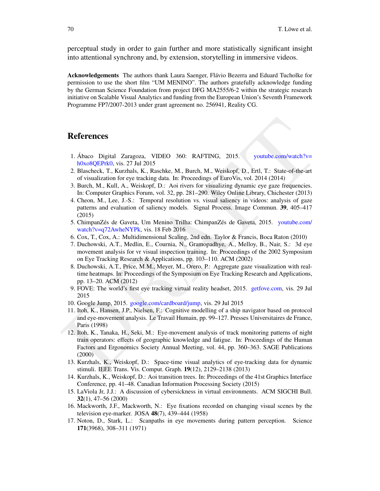perceptual study in order to gain further and more statistically significant insight into attentional synchrony and, by extension, storytelling in immersive videos.

**Acknowledgements** The authors thank Laura Saenger, Flávio Bezerra and Eduard Tucholke for permission to use the short film "UM MENINO". The authors gratefully acknowledge funding by the German Science Foundation from project DFG MA2555/6-2 within the strategic research initiative on Scalable Visual Analytics and funding from the European Union's Seventh Framework Programme FP7/2007-2013 under grant agreement no. 256941, Reality CG.

#### **References**

- 1. Ábaco Digital Zaragoza, VIDEO 360: RAFTING, 2015. youtube.com/watch?v= h0xo8QEPrk0, vis. 27 Jul 2015
- 2. Blascheck, T., Kurzhals, K., Raschke, M., Burch, M., Weiskopf, D., Ertl, T.: State-of-the-art of visualization for eye tracking data. In: Proceedings of EuroVis, vol. 2014 (2014)
- 3. Burch, M., Kull, A., Weiskopf, D.: Aoi rivers for visualizing dynamic eye gaze frequencies. In: Computer Graphics Forum, vol. 32, pp. 281–290. Wiley Online Library, Chichester (2013)
- 4. Cheon, M., Lee, J.-S.: Temporal resolution vs. visual saliency in videos: analysis of gaze patterns and evaluation of saliency models. Signal Process. Image Commun. **39**, 405–417 (2015)
- 5. ChimpanZés de Gaveta, Um Menino Trilha: ChimpanZés de Gaveta, 2015. youtube.com/ watch?v=q72AwheNYPk, vis. 18 Feb 2016
- 6. Cox, T., Cox, A.: Multidimensional Scaling, 2nd edn. Taylor & Francis, Boca Raton (2010)
- 7. Duchowski, A.T., Medlin, E., Cournia, N., Gramopadhye, A., Melloy, B., Nair, S.: 3d eye movement analysis for vr visual inspection training. In: Proceedings of the 2002 Symposium on Eye Tracking Research & Applications, pp. 103–110. ACM (2002)
- 8. Duchowski, A.T., Price, M.M., Meyer, M., Orero, P.: Aggregate gaze visualization with realtime heatmaps. In: Proceedings of the Symposium on Eye Tracking Research and Applications, pp. 13–20. ACM (2012)
- 9. FOVE: The world's first eye tracking virtual reality headset, 2015. getfove.com, vis. 29 Jul 2015
- 10. Google Jump, 2015. google.com/cardboard/jump, vis. 29 Jul 2015
- 11. Itoh, K., Hansen, J.P., Nielsen, F.: Cognitive modelling of a ship navigator based on protocol and eye-movement analysis. Le Travail Humain, pp. 99–127. Presses Universitaires de France, Paris (1998)
- **References**<br>
1. Ábaso Digital Zaragoza, VIDEO 360: RAFTING, 2015. youtube.com/watch?v=<br>
2. Bisscheck, T., Kurshas, K., Raschke., M., Burch, M., Weiskopf, D., Erl.l, T.: State-of-the-art<br>
2. Bisscheck, T., Kurshas, K., Ra 12. Itoh, K., Tanaka, H., Seki, M.: Eye-movement analysis of track monitoring patterns of night train operators: effects of geographic knowledge and fatigue. In: Proceedings of the Human Factors and Ergonomics Society Annual Meeting, vol. 44, pp. 360–363. SAGE Publications (2000)
	- 13. Kurzhals, K., Weiskopf, D.: Space-time visual analytics of eye-tracking data for dynamic stimuli. IEEE Trans. Vis. Comput. Graph. **19**(12), 2129–2138 (2013)
	- 14. Kurzhals, K., Weiskopf, D.: Aoi transition trees. In: Proceedings of the 41st Graphics Interface Conference, pp. 41–48. Canadian Information Processing Society (2015)
	- 15. LaViola Jr, J.J.: A discussion of cybersickness in virtual environments. ACM SIGCHI Bull. **32**(1), 47–56 (2000)
	- 16. Mackworth, J.F., Mackworth, N.: Eye fixations recorded on changing visual scenes by the television eye-marker. JOSA **48**(7), 439–444 (1958)
	- 17. Noton, D., Stark, L.: Scanpaths in eye movements during pattern perception. Science **171**(3968), 308–311 (1971)